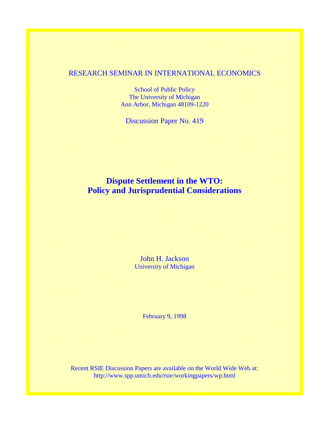# RESEARCH SEMINAR IN INTERNATIONAL ECONOMICS

School of Public Policy The University of Michigan Ann Arbor, Michigan 48109-1220

Discussion Paper No. 419

# **Dispute Settlement in the WTO: Policy and Jurisprudential Considerations**

John H. Jackson University of Michigan

February 9, 1998

Recent RSIE Discussion Papers are available on the World Wide Web at: http://www.spp.umich.edu/rsie/workingpapers/wp.html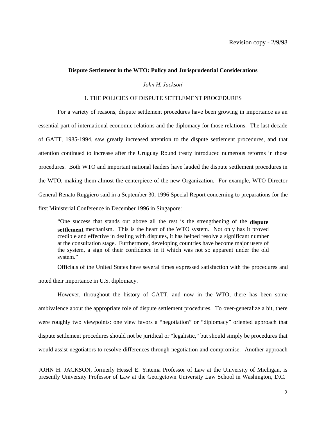#### **Dispute Settlement in the WTO: Policy and Jurisprudential Considerations**

### *John H. Jackson.*

# 1. THE POLICIES OF DISPUTE SETTLEMENT PROCEDURES

For a variety of reasons, dispute settlement procedures have been growing in importance as an essential part of international economic relations and the diplomacy for those relations. The last decade of GATT, 1985-1994, saw greatly increased attention to the dispute settlement procedures, and that attention continued to increase after the Uruguay Round treaty introduced numerous reforms in those procedures. Both WTO and important national leaders have lauded the dispute settlement procedures in the WTO, making them almost the centerpiece of the new Organization. For example, WTO Director General Renato Ruggiero said in a September 30, 1996 Special Report concerning to preparations for the first Ministerial Conference in December 1996 in Singapore:

"One success that stands out above all the rest is the strengthening of the **dispute settlement** mechanism. This is the heart of the WTO system. Not only has it proved credible and effective in dealing with disputes, it has helped resolve a significant number at the consultation stage. Furthermore, developing countries have become major users of the system, a sign of their confidence in it which was not so apparent under the old system."

Officials of the United States have several times expressed satisfaction with the procedures and

noted their importance in U.S. diplomacy.

i<br>I

However, throughout the history of GATT, and now in the WTO, there has been some ambivalence about the appropriate role of dispute settlement procedures. To over-generalize a bit, there were roughly two viewpoints: one view favors a "negotiation" or "diplomacy" oriented approach that dispute settlement procedures should not be juridical or "legalistic," but should simply be procedures that would assist negotiators to resolve differences through negotiation and compromise. Another approach

<sup>.</sup> JOHN H. JACKSON, formerly Hessel E. Yntema Professor of Law at the University of Michigan, is presently University Professor of Law at the Georgetown University Law School in Washington, D.C.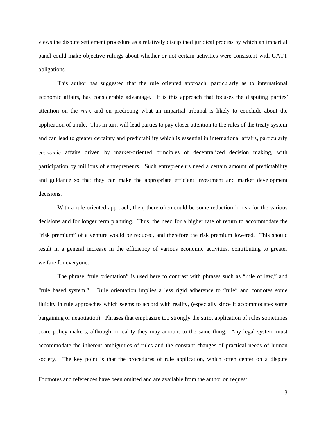views the dispute settlement procedure as a relatively disciplined juridical process by which an impartial panel could make objective rulings about whether or not certain activities were consistent with GATT obligations.

This author has suggested that the rule oriented approach, particularly as to international economic affairs, has considerable advantage. It is this approach that focuses the disputing parties' attention on the *rule*, and on predicting what an impartial tribunal is likely to conclude about the application of a rule. This in turn will lead parties to pay closer attention to the rules of the treaty system and can lead to greater certainty and predictability which is essential in international affairs, particularly *economic* affairs driven by market-oriented principles of decentralized decision making, with participation by millions of entrepreneurs. Such entrepreneurs need a certain amount of predictability and guidance so that they can make the appropriate efficient investment and market development decisions.

With a rule-oriented approach, then, there often could be some reduction in risk for the various decisions and for longer term planning. Thus, the need for a higher rate of return to accommodate the "risk premium" of a venture would be reduced, and therefore the risk premium lowered. This should result in a general increase in the efficiency of various economic activities, contributing to greater welfare for everyone.

The phrase "rule orientation" is used here to contrast with phrases such as "rule of law," and "rule based system." Rule orientation implies a less rigid adherence to "rule" and connotes some fluidity in rule approaches which seems to accord with reality, (especially since it accommodates some bargaining or negotiation). Phrases that emphasize too strongly the strict application of rules sometimes scare policy makers, although in reality they may amount to the same thing. Any legal system must accommodate the inherent ambiguities of rules and the constant changes of practical needs of human society. The key point is that the procedures of rule application, which often center on a dispute

i<br>I

Footnotes and references have been omitted and are available from the author on request.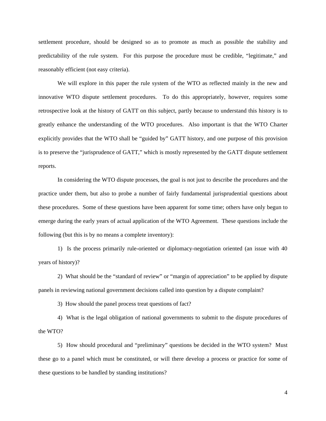settlement procedure, should be designed so as to promote as much as possible the stability and predictability of the rule system. For this purpose the procedure must be credible, "legitimate," and reasonably efficient (not easy criteria).

We will explore in this paper the rule system of the WTO as reflected mainly in the new and innovative WTO dispute settlement procedures. To do this appropriately, however, requires some retrospective look at the history of GATT on this subject, partly because to understand this history is to greatly enhance the understanding of the WTO procedures. Also important is that the WTO Charter explicitly provides that the WTO shall be "guided by" GATT history, and one purpose of this provision is to preserve the "jurisprudence of GATT," which is mostly represented by the GATT dispute settlement reports.

In considering the WTO dispute processes, the goal is not just to describe the procedures and the practice under them, but also to probe a number of fairly fundamental jurisprudential questions about these procedures. Some of these questions have been apparent for some time; others have only begun to emerge during the early years of actual application of the WTO Agreement. These questions include the following (but this is by no means a complete inventory):

1) Is the process primarily rule-oriented or diplomacy-negotiation oriented (an issue with 40 years of history)?

2) What should be the "standard of review" or "margin of appreciation" to be applied by dispute panels in reviewing national government decisions called into question by a dispute complaint?

3) How should the panel process treat questions of fact?

4) What is the legal obligation of national governments to submit to the dispute procedures of the WTO?

5) How should procedural and "preliminary" questions be decided in the WTO system? Must these go to a panel which must be constituted, or will there develop a process or practice for some of these questions to be handled by standing institutions?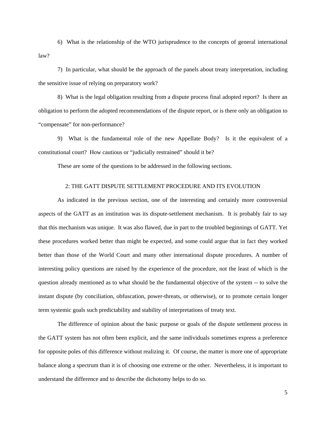6) What is the relationship of the WTO jurisprudence to the concepts of general international law?

7) In particular, what should be the approach of the panels about treaty interpretation, including the sensitive issue of relying on preparatory work?

8) What is the legal obligation resulting from a dispute process final adopted report? Is there an obligation to perform the adopted recommendations of the dispute report, or is there only an obligation to "compensate" for non-performance?

9) What is the fundamental role of the new Appellate Body? Is it the equivalent of a constitutional court? How cautious or "judicially restrained" should it be?

These are some of the questions to be addressed in the following sections.

# 2: THE GATT DISPUTE SETTLEMENT PROCEDURE AND ITS EVOLUTION

As indicated in the previous section, one of the interesting and certainly more controversial aspects of the GATT as an institution was its dispute-settlement mechanism. It is probably fair to say that this mechanism was unique. It was also flawed, due in part to the troubled beginnings of GATT. Yet these procedures worked better than might be expected, and some could argue that in fact they worked better than those of the World Court and many other international dispute procedures. A number of interesting policy questions are raised by the experience of the procedure, not the least of which is the question already mentioned as to what should be the fundamental objective of the system -- to solve the instant dispute (by conciliation, obfuscation, power-threats, or otherwise), or to promote certain longer term systemic goals such predictability and stability of interpretations of treaty text.

The difference of opinion about the basic purpose or goals of the dispute settlement process in the GATT system has not often been explicit, and the same individuals sometimes express a preference for opposite poles of this difference without realizing it. Of course, the matter is more one of appropriate balance along a spectrum than it is of choosing one extreme or the other. Nevertheless, it is important to understand the difference and to describe the dichotomy helps to do so.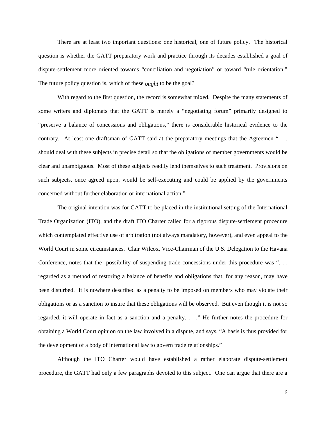There are at least two important questions: one historical, one of future policy. The historical question is whether the GATT preparatory work and practice through its decades established a goal of dispute-settlement more oriented towards "conciliation and negotiation" or toward "rule orientation." The future policy question is, which of these *ought* to be the goal?

With regard to the first question, the record is somewhat mixed. Despite the many statements of some writers and diplomats that the GATT is merely a "negotiating forum" primarily designed to "preserve a balance of concessions and obligations," there is considerable historical evidence to the contrary. At least one draftsman of GATT said at the preparatory meetings that the Agreemen ". . . should deal with these subjects in precise detail so that the obligations of member governments would be clear and unambiguous. Most of these subjects readily lend themselves to such treatment. Provisions on such subjects, once agreed upon, would be self-executing and could be applied by the governments concerned without further elaboration or international action."

The original intention was for GATT to be placed in the institutional setting of the International Trade Organization (ITO), and the draft ITO Charter called for a rigorous dispute-settlement procedure which contemplated effective use of arbitration (not always mandatory, however), and even appeal to the World Court in some circumstances. Clair Wilcox, Vice-Chairman of the U.S. Delegation to the Havana Conference, notes that the possibility of suspending trade concessions under this procedure was ". . . regarded as a method of restoring a balance of benefits and obligations that, for any reason, may have been disturbed. It is nowhere described as a penalty to be imposed on members who may violate their obligations or as a sanction to insure that these obligations will be observed. But even though it is not so regarded, it will operate in fact as a sanction and a penalty. . . ." He further notes the procedure for obtaining a World Court opinion on the law involved in a dispute, and says, "A basis is thus provided for the development of a body of international law to govern trade relationships."

Although the ITO Charter would have established a rather elaborate dispute-settlement procedure, the GATT had only a few paragraphs devoted to this subject. One can argue that there are a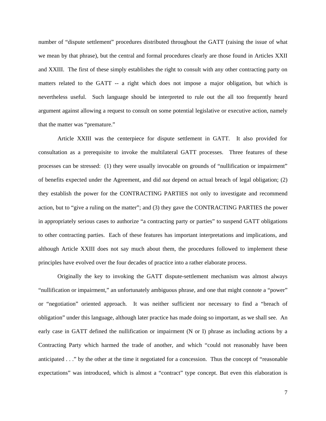number of "dispute settlement" procedures distributed throughout the GATT (raising the issue of what we mean by that phrase), but the central and formal procedures clearly are those found in Articles XXII and XXIII. The first of these simply establishes the right to consult with any other contracting party on matters related to the GATT -- a right which does not impose a major obligation, but which is nevertheless useful. Such language should be interpreted to rule out the all too frequently heard argument against allowing a request to consult on some potential legislative or executive action, namely that the matter was "premature."

Article XXIII was the centerpiece for dispute settlement in GATT. It also provided for consultation as a prerequisite to invoke the multilateral GATT processes. Three features of these processes can be stressed: (1) they were usually invocable on grounds of "nullification or impairment" of benefits expected under the Agreement, and did *not* depend on actual breach of legal obligation; (2) they establish the power for the CONTRACTING PARTIES not only to investigate and recommend action, but to "give a ruling on the matter"; and (3) they gave the CONTRACTING PARTIES the power in appropriately serious cases to authorize "a contracting party or parties" to suspend GATT obligations to other contracting parties. Each of these features has important interpretations and implications, and although Article XXIII does not say much about them, the procedures followed to implement these principles have evolved over the four decades of practice into a rather elaborate process.

Originally the key to invoking the GATT dispute-settlement mechanism was almost always "nullification or impairment," an unfortunately ambiguous phrase, and one that might connote a "power" or "negotiation" oriented approach. It was neither sufficient nor necessary to find a "breach of obligation" under this language, although later practice has made doing so important, as we shall see. An early case in GATT defined the nullification or impairment (N or I) phrase as including actions by a Contracting Party which harmed the trade of another, and which "could not reasonably have been anticipated . . ." by the other at the time it negotiated for a concession. Thus the concept of "reasonable expectations" was introduced, which is almost a "contract" type concept. But even this elaboration is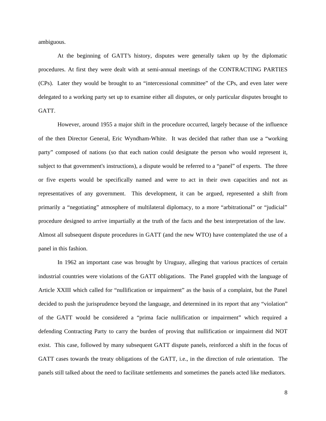ambiguous.

At the beginning of GATT's history, disputes were generally taken up by the diplomatic procedures. At first they were dealt with at semi-annual meetings of the CONTRACTING PARTIES (CPs). Later they would be brought to an "intercessional committee" of the CPs, and even later were delegated to a working party set up to examine either all disputes, or only particular disputes brought to GATT.

However, around 1955 a major shift in the procedure occurred, largely because of the influence of the then Director General, Eric Wyndham-White. It was decided that rather than use a "working party" composed of nations (so that each nation could designate the person who would represent it, subject to that government's instructions), a dispute would be referred to a "panel" of experts. The three or five experts would be specifically named and were to act in their own capacities and not as representatives of any government. This development, it can be argued, represented a shift from primarily a "negotiating" atmosphere of multilateral diplomacy, to a more "arbitrational" or "judicial" procedure designed to arrive impartially at the truth of the facts and the best interpretation of the law. Almost all subsequent dispute procedures in GATT (and the new WTO) have contemplated the use of a panel in this fashion.

In 1962 an important case was brought by Uruguay, alleging that various practices of certain industrial countries were violations of the GATT obligations. The Panel grappled with the language of Article XXIII which called for "nullification or impairment" as the basis of a complaint, but the Panel decided to push the jurisprudence beyond the language, and determined in its report that any "violation" of the GATT would be considered a "prima facie nullification or impairment" which required a defending Contracting Party to carry the burden of proving that nullification or impairment did NOT exist. This case, followed by many subsequent GATT dispute panels, reinforced a shift in the focus of GATT cases towards the treaty obligations of the GATT, i.e., in the direction of rule orientation. The panels still talked about the need to facilitate settlements and sometimes the panels acted like mediators.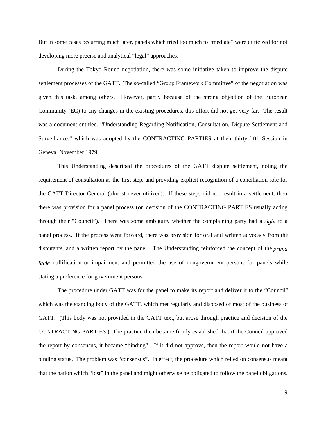But in some cases occurring much later, panels which tried too much to "mediate" were criticized for not developing more precise and analytical "legal" approaches.

During the Tokyo Round negotiation, there was some initiative taken to improve the dispute settlement processes of the GATT. The so-called "Group Framework Committee" of the negotiation was given this task, among others. However, partly because of the strong objection of the European Community (EC) to any changes in the existing procedures, this effort did not get very far. The result was a document entitled, "Understanding Regarding Notification, Consultation, Dispute Settlement and Surveillance," which was adopted by the CONTRACTING PARTIES at their thirty-fifth Session in Geneva, November 1979.

This Understanding described the procedures of the GATT dispute settlement, noting the requirement of consultation as the first step, and providing explicit recognition of a conciliation role for the GATT Director General (almost never utilized). If these steps did not result in a settlement, then there was provision for a panel process (on decision of the CONTRACTING PARTIES usually acting through their "Council"). There was some ambiguity whether the complaining party had a *right* to a panel process. If the process went forward, there was provision for oral and written advocacy from the disputants, and a written report by the panel. The Understanding reinforced the concept of the *prima facie* nullification or impairment and permitted the use of nongovernment persons for panels while stating a preference for government persons.

The procedure under GATT was for the panel to make its report and deliver it to the "Council" which was the standing body of the GATT, which met regularly and disposed of most of the business of GATT. (This body was not provided in the GATT text, but arose through practice and decision of the CONTRACTING PARTIES.) The practice then became firmly established that if the Council approved the report by consensus, it became "binding". If it did not approve, then the report would not have a binding status. The problem was "consensus". In effect, the procedure which relied on consensus meant that the nation which "lost" in the panel and might otherwise be obligated to follow the panel obligations,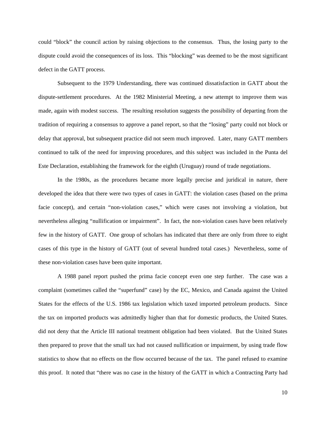could "block" the council action by raising objections to the consensus. Thus, the losing party to the dispute could avoid the consequences of its loss. This "blocking" was deemed to be the most significant defect in the GATT process.

Subsequent to the 1979 Understanding, there was continued dissatisfaction in GATT about the dispute-settlement procedures. At the 1982 Ministerial Meeting, a new attempt to improve them was made, again with modest success. The resulting resolution suggests the possibility of departing from the tradition of requiring a consensus to approve a panel report, so that the "losing" party could not block or delay that approval, but subsequent practice did not seem much improved. Later, many GATT members continued to talk of the need for improving procedures, and this subject was included in the Punta del Este Declaration, establishing the framework for the eighth (Uruguay) round of trade negotiations.

In the 1980s, as the procedures became more legally precise and juridical in nature, there developed the idea that there were two types of cases in GATT: the violation cases (based on the prima facie concept), and certain "non-violation cases," which were cases not involving a violation, but nevertheless alleging "nullification or impairment". In fact, the non-violation cases have been relatively few in the history of GATT. One group of scholars has indicated that there are only from three to eight cases of this type in the history of GATT (out of several hundred total cases.) Nevertheless, some of these non-violation cases have been quite important.

A 1988 panel report pushed the prima facie concept even one step further. The case was a complaint (sometimes called the "superfund" case) by the EC, Mexico, and Canada against the United States for the effects of the U.S. 1986 tax legislation which taxed imported petroleum products. Since the tax on imported products was admittedly higher than that for domestic products, the United States. did not deny that the Article III national treatment obligation had been violated. But the United States then prepared to prove that the small tax had not caused nullification or impairment, by using trade flow statistics to show that no effects on the flow occurred because of the tax. The panel refused to examine this proof. It noted that "there was no case in the history of the GATT in which a Contracting Party had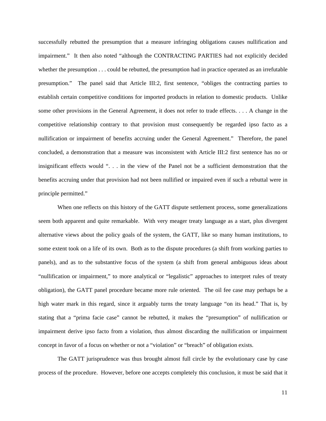successfully rebutted the presumption that a measure infringing obligations causes nullification and impairment." It then also noted "although the CONTRACTING PARTIES had not explicitly decided whether the presumption . . . could be rebutted, the presumption had in practice operated as an irrefutable presumption." The panel said that Article III:2, first sentence, "obliges the contracting parties to establish certain competitive conditions for imported products in relation to domestic products. Unlike some other provisions in the General Agreement, it does not refer to trade effects. . . . A change in the competitive relationship contrary to that provision must consequently be regarded ipso facto as a nullification or impairment of benefits accruing under the General Agreement." Therefore, the panel concluded, a demonstration that a measure was inconsistent with Article III:2 first sentence has no or insignificant effects would ". . . in the view of the Panel not be a sufficient demonstration that the benefits accruing under that provision had not been nullified or impaired even if such a rebuttal were in principle permitted."

When one reflects on this history of the GATT dispute settlement process, some generalizations seem both apparent and quite remarkable. With very meager treaty language as a start, plus divergent alternative views about the policy goals of the system, the GATT, like so many human institutions, to some extent took on a life of its own. Both as to the dispute procedures (a shift from working parties to panels), and as to the substantive focus of the system (a shift from general ambiguous ideas about "nullification or impairment," to more analytical or "legalistic" approaches to interpret rules of treaty obligation), the GATT panel procedure became more rule oriented. The oil fee case may perhaps be a high water mark in this regard, since it arguably turns the treaty language "on its head." That is, by stating that a "prima facie case" cannot be rebutted, it makes the "presumption" of nullification or impairment derive ipso facto from a violation, thus almost discarding the nullification or impairment concept in favor of a focus on whether or not a "violation" or "breach" of obligation exists.

The GATT jurisprudence was thus brought almost full circle by the evolutionary case by case process of the procedure. However, before one accepts completely this conclusion, it must be said that it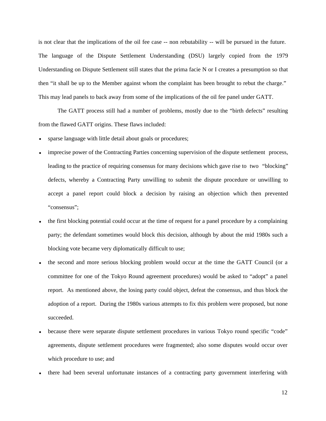is not clear that the implications of the oil fee case -- non rebutability -- will be pursued in the future. The language of the Dispute Settlement Understanding (DSU) largely copied from the 1979 Understanding on Dispute Settlement still states that the prima facie N or I creates a presumption so that then "it shall be up to the Member against whom the complaint has been brought to rebut the charge." This may lead panels to back away from some of the implications of the oil fee panel under GATT.

The GATT process still had a number of problems, mostly due to the "birth defects" resulting from the flawed GATT origins. These flaws included:

- sparse language with little detail about goals or procedures;
- imprecise power of the Contracting Parties concerning supervision of the dispute settlement process, leading to the practice of requiring consensus for many decisions which gave rise to two "blocking" defects, whereby a Contracting Party unwilling to submit the dispute procedure or unwilling to accept a panel report could block a decision by raising an objection which then prevented "consensus";
- the first blocking potential could occur at the time of request for a panel procedure by a complaining party; the defendant sometimes would block this decision, although by about the mid 1980s such a blocking vote became very diplomatically difficult to use;
- the second and more serious blocking problem would occur at the time the GATT Council (or a committee for one of the Tokyo Round agreement procedures) would be asked to "adopt" a panel report. As mentioned above, the losing party could object, defeat the consensus, and thus block the adoption of a report. During the 1980s various attempts to fix this problem were proposed, but none succeeded.
- because there were separate dispute settlement procedures in various Tokyo round specific "code" agreements, dispute settlement procedures were fragmented; also some disputes would occur over which procedure to use; and
- there had been several unfortunate instances of a contracting party government interfering with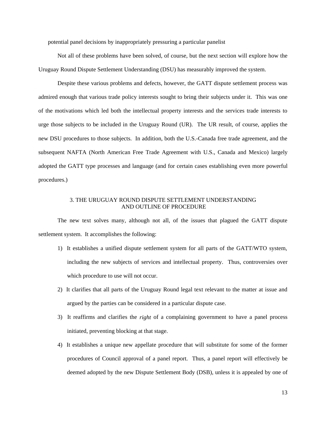potential panel decisions by inappropriately pressuring a particular panelist

Not all of these problems have been solved, of course, but the next section will explore how the Uruguay Round Dispute Settlement Understanding (DSU) has measurably improved the system.

Despite these various problems and defects, however, the GATT dispute settlement process was admired enough that various trade policy interests sought to bring their subjects under it. This was one of the motivations which led both the intellectual property interests and the services trade interests to urge those subjects to be included in the Uruguay Round (UR). The UR result, of course, applies the new DSU procedures to those subjects. In addition, both the U.S.-Canada free trade agreement, and the subsequent NAFTA (North American Free Trade Agreement with U.S., Canada and Mexico) largely adopted the GATT type processes and language (and for certain cases establishing even more powerful procedures.)

# 3. THE URUGUAY ROUND DISPUTE SETTLEMENT UNDERSTANDING AND OUTLINE OF PROCEDURE

The new text solves many, although not all, of the issues that plagued the GATT dispute settlement system. It accomplishes the following:

- 1) It establishes a unified dispute settlement system for all parts of the GATT/WTO system, including the new subjects of services and intellectual property. Thus, controversies over which procedure to use will not occur.
- 2) It clarifies that all parts of the Uruguay Round legal text relevant to the matter at issue and argued by the parties can be considered in a particular dispute case.
- 3) It reaffirms and clarifies the *right* of a complaining government to have a panel process initiated, preventing blocking at that stage.
- 4) It establishes a unique new appellate procedure that will substitute for some of the former procedures of Council approval of a panel report. Thus, a panel report will effectively be deemed adopted by the new Dispute Settlement Body (DSB), unless it is appealed by one of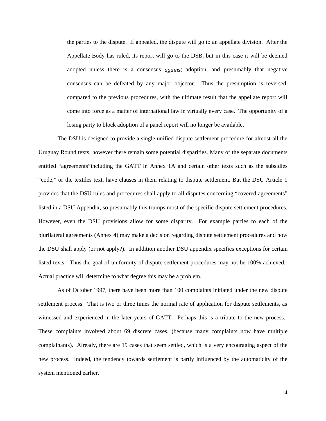the parties to the dispute. If appealed, the dispute will go to an appellate division. After the Appellate Body has ruled, its report will go to the DSB, but in this case it will be deemed adopted unless there is a consensus *against* adoption, and presumably that negative consensus can be defeated by any major objector. Thus the presumption is reversed, compared to the previous procedures, with the ultimate result that the appellate report will come into force as a matter of international law in virtually every case. The opportunity of a losing party to block adoption of a panel report will no longer be available.

The DSU is designed to provide a single unified dispute settlement procedure for almost all the Uruguay Round texts, however there remain some potential disparities. Many of the separate documents entitled "agreements"including the GATT in Annex 1A and certain other texts such as the subsidies "code," or the textiles text, have clauses in them relating to dispute settlement. But the DSU Article 1 provides that the DSU rules and procedures shall apply to all disputes concerning "covered agreements" listed in a DSU Appendix, so presumably this trumps most of the specific dispute settlement procedures. However, even the DSU provisions allow for some disparity. For example parties to each of the plurilateral agreements (Annex 4) may make a decision regarding dispute settlement procedures and how the DSU shall apply (or not apply?). In addition another DSU appendix specifies exceptions for certain listed texts. Thus the goal of uniformity of dispute settlement procedures may not be 100% achieved. Actual practice will determine to what degree this may be a problem.

As of October 1997, there have been more than 100 complaints initiated under the new dispute settlement process. That is two or three times the normal rate of application for dispute settlements, as witnessed and experienced in the later years of GATT. Perhaps this is a tribute to the new process. These complaints involved about 69 discrete cases, (because many complaints now have multiple complainants). Already, there are 19 cases that seem settled, which is a very encouraging aspect of the new process. Indeed, the tendency towards settlement is partly influenced by the automaticity of the system mentioned earlier.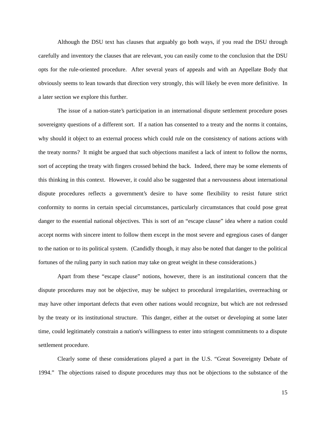Although the DSU text has clauses that arguably go both ways, if you read the DSU through carefully and inventory the clauses that are relevant, you can easily come to the conclusion that the DSU opts for the rule-oriented procedure. After several years of appeals and with an Appellate Body that obviously seems to lean towards that direction very strongly, this will likely be even more definitive. In a later section we explore this further.

The issue of a nation-state's participation in an international dispute settlement procedure poses sovereignty questions of a different sort. If a nation has consented to a treaty and the norms it contains, why should it object to an external process which could rule on the consistency of nations actions with the treaty norms? It might be argued that such objections manifest a lack of intent to follow the norms, sort of accepting the treaty with fingers crossed behind the back. Indeed, there may be some elements of this thinking in this context. However, it could also be suggested that a nervousness about international dispute procedures reflects a government's desire to have some flexibility to resist future strict conformity to norms in certain special circumstances, particularly circumstances that could pose great danger to the essential national objectives. This is sort of an "escape clause" idea where a nation could accept norms with sincere intent to follow them except in the most severe and egregious cases of danger to the nation or to its political system. (Candidly though, it may also be noted that danger to the political fortunes of the ruling party in such nation may take on great weight in these considerations.)

Apart from these "escape clause" notions, however, there is an institutional concern that the dispute procedures may not be objective, may be subject to procedural irregularities, overreaching or may have other important defects that even other nations would recognize, but which are not redressed by the treaty or its institutional structure. This danger, either at the outset or developing at some later time, could legitimately constrain a nation's willingness to enter into stringent commitments to a dispute settlement procedure.

Clearly some of these considerations played a part in the U.S. "Great Sovereignty Debate of 1994." The objections raised to dispute procedures may thus not be objections to the substance of the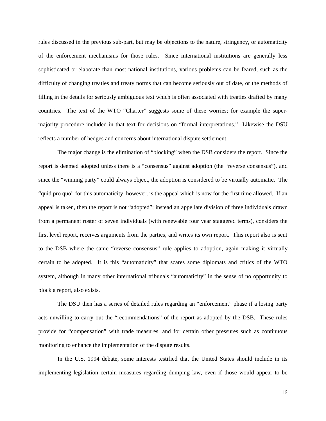rules discussed in the previous sub-part, but may be objections to the nature, stringency, or automaticity of the enforcement mechanisms for those rules. Since international institutions are generally less sophisticated or elaborate than most national institutions, various problems can be feared, such as the difficulty of changing treaties and treaty norms that can become seriously out of date, or the methods of filling in the details for seriously ambiguous text which is often associated with treaties drafted by many countries. The text of the WTO "Charter" suggests some of these worries; for example the supermajority procedure included in that text for decisions on "formal interpretations." Likewise the DSU reflects a number of hedges and concerns about international dispute settlement.

The major change is the elimination of "blocking" when the DSB considers the report. Since the report is deemed adopted unless there is a "consensus" against adoption (the "reverse consensus"), and since the "winning party" could always object, the adoption is considered to be virtually automatic. The "quid pro quo" for this automaticity, however, is the appeal which is now for the first time allowed. If an appeal is taken, then the report is not "adopted"; instead an appellate division of three individuals drawn from a permanent roster of seven individuals (with renewable four year staggered terms), considers the first level report, receives arguments from the parties, and writes its own report. This report also is sent to the DSB where the same "reverse consensus" rule applies to adoption, again making it virtually certain to be adopted. It is this "automaticity" that scares some diplomats and critics of the WTO system, although in many other international tribunals "automaticity" in the sense of no opportunity to block a report, also exists.

The DSU then has a series of detailed rules regarding an "enforcement" phase if a losing party acts unwilling to carry out the "recommendations" of the report as adopted by the DSB. These rules provide for "compensation" with trade measures, and for certain other pressures such as continuous monitoring to enhance the implementation of the dispute results.

In the U.S. 1994 debate, some interests testified that the United States should include in its implementing legislation certain measures regarding dumping law, even if those would appear to be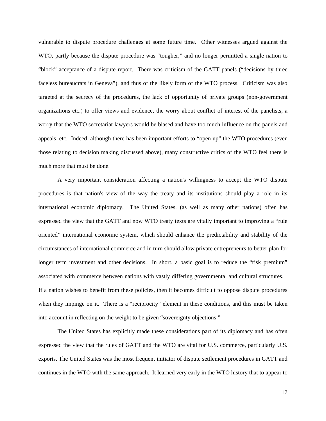vulnerable to dispute procedure challenges at some future time. Other witnesses argued against the WTO, partly because the dispute procedure was "tougher," and no longer permitted a single nation to "block" acceptance of a dispute report. There was criticism of the GATT panels ("decisions by three faceless bureaucrats in Geneva"), and thus of the likely form of the WTO process. Criticism was also targeted at the secrecy of the procedures, the lack of opportunity of private groups (non-government organizations etc.) to offer views and evidence, the worry about conflict of interest of the panelists, a worry that the WTO secretariat lawyers would be biased and have too much influence on the panels and appeals, etc. Indeed, although there has been important efforts to "open up" the WTO procedures (even those relating to decision making discussed above), many constructive critics of the WTO feel there is much more that must be done.

A very important consideration affecting a nation's willingness to accept the WTO dispute procedures is that nation's view of the way the treaty and its institutions should play a role in its international economic diplomacy. The United States. (as well as many other nations) often has expressed the view that the GATT and now WTO treaty texts are vitally important to improving a "rule oriented" international economic system, which should enhance the predictability and stability of the circumstances of international commerce and in turn should allow private entrepreneurs to better plan for longer term investment and other decisions. In short, a basic goal is to reduce the "risk premium" associated with commerce between nations with vastly differing governmental and cultural structures. If a nation wishes to benefit from these policies, then it becomes difficult to oppose dispute procedures when they impinge on it. There is a "reciprocity" element in these conditions, and this must be taken into account in reflecting on the weight to be given "sovereignty objections."

The United States has explicitly made these considerations part of its diplomacy and has often expressed the view that the rules of GATT and the WTO are vital for U.S. commerce, particularly U.S. exports. The United States was the most frequent initiator of dispute settlement procedures in GATT and continues in the WTO with the same approach. It learned very early in the WTO history that to appear to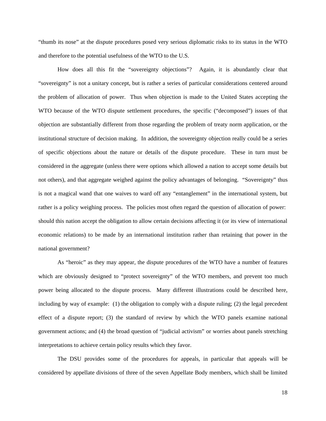"thumb its nose" at the dispute procedures posed very serious diplomatic risks to its status in the WTO and therefore to the potential usefulness of the WTO to the U.S.

How does all this fit the "sovereignty objections"? Again, it is abundantly clear that "sovereignty" is not a unitary concept, but is rather a series of particular considerations centered around the problem of allocation of power. Thus when objection is made to the United States accepting the WTO because of the WTO dispute settlement procedures, the specific ("decomposed") issues of that objection are substantially different from those regarding the problem of treaty norm application, or the institutional structure of decision making. In addition, the sovereignty objection really could be a series of specific objections about the nature or details of the dispute procedure. These in turn must be considered in the aggregate (unless there were options which allowed a nation to accept some details but not others), and that aggregate weighed against the policy advantages of belonging. "Sovereignty" thus is not a magical wand that one waives to ward off any "entanglement" in the international system, but rather is a policy weighing process. The policies most often regard the question of allocation of power: should this nation accept the obligation to allow certain decisions affecting it (or its view of international economic relations) to be made by an international institution rather than retaining that power in the national government?

As "heroic" as they may appear, the dispute procedures of the WTO have a number of features which are obviously designed to "protect sovereignty" of the WTO members, and prevent too much power being allocated to the dispute process. Many different illustrations could be described here, including by way of example: (1) the obligation to comply with a dispute ruling; (2) the legal precedent effect of a dispute report; (3) the standard of review by which the WTO panels examine national government actions; and (4) the broad question of "judicial activism" or worries about panels stretching interpretations to achieve certain policy results which they favor.

The DSU provides some of the procedures for appeals, in particular that appeals will be considered by appellate divisions of three of the seven Appellate Body members, which shall be limited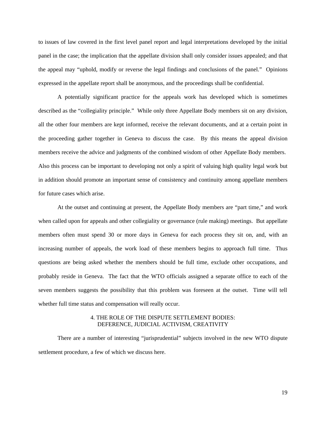to issues of law covered in the first level panel report and legal interpretations developed by the initial panel in the case; the implication that the appellate division shall only consider issues appealed; and that the appeal may "uphold, modify or reverse the legal findings and conclusions of the panel." Opinions expressed in the appellate report shall be anonymous, and the proceedings shall be confidential.

A potentially significant practice for the appeals work has developed which is sometimes described as the "collegiality principle." While only three Appellate Body members sit on any division, all the other four members are kept informed, receive the relevant documents, and at a certain point in the proceeding gather together in Geneva to discuss the case. By this means the appeal division members receive the advice and judgments of the combined wisdom of other Appellate Body members. Also this process can be important to developing not only a spirit of valuing high quality legal work but in addition should promote an important sense of consistency and continuity among appellate members for future cases which arise.

At the outset and continuing at present, the Appellate Body members are "part time," and work when called upon for appeals and other collegiality or governance (rule making) meetings. But appellate members often must spend 30 or more days in Geneva for each process they sit on, and, with an increasing number of appeals, the work load of these members begins to approach full time. Thus questions are being asked whether the members should be full time, exclude other occupations, and probably reside in Geneva. The fact that the WTO officials assigned a separate office to each of the seven members suggests the possibility that this problem was foreseen at the outset. Time will tell whether full time status and compensation will really occur.

# 4. THE ROLE OF THE DISPUTE SETTLEMENT BODIES: DEFERENCE, JUDICIAL ACTIVISM, CREATIVITY

There are a number of interesting "jurisprudential" subjects involved in the new WTO dispute settlement procedure, a few of which we discuss here.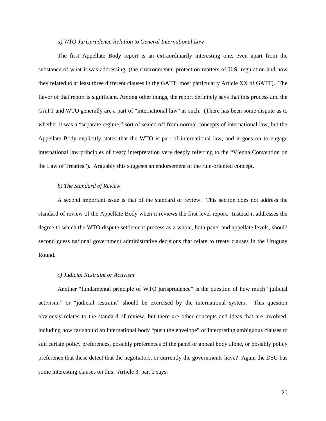#### *a) WTO Jurisprudence Relation to General International Law*

The first Appellate Body report is an extraordinarily interesting one, even apart from the substance of what it was addressing, (the environmental protection matters of U.S. regulation and how they related to at least three different clauses in the GATT, most particularly Article XX of GATT). The flavor of that report is significant. Among other things, the report definitely says that this process and the GATT and WTO generally are a part of "international law" as such. (There has been some dispute as to whether it was a "separate regime," sort of sealed off from normal concepts of international law, but the Appellate Body explicitly states that the WTO is part of international law, and it goes on to engage international law principles of treaty interpretation very deeply referring to the "Vienna Convention on the Law of Treaties"). Arguably this suggests an endorsement of the rule-oriented concept.

#### *b) The Standard of Review*

A second important issue is that of the standard of review. This section does not address the standard of review of the Appellate Body when it reviews the first level report. Instead it addresses the degree to which the WTO dispute settlement process as a whole, both panel and appellate levels, should second guess national government administrative decisions that relate to treaty clauses in the Uruguay Round.

#### *c) Judicial Restraint or Activism*

Another "fundamental principle of WTO jurisprudence" is the question of how much "judicial activism," or "judicial restraint" should be exercised by the international system. This question obviously relates to the standard of review, but there are other concepts and ideas that are involved, including how far should an international body "push the envelope" of interpreting ambiguous clauses to suit certain policy preferences, possibly preferences of the panel or appeal body alone, or possibly policy preference that these detect that the negotiators, or currently the governments have? Again the DSU has some interesting clauses on this. Article 3, par. 2 says: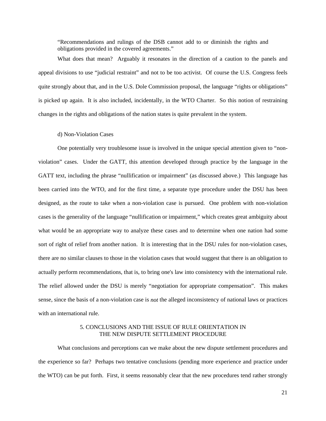"Recommendations and rulings of the DSB cannot add to or diminish the rights and obligations provided in the covered agreements."

What does that mean? Arguably it resonates in the direction of a caution to the panels and appeal divisions to use "judicial restraint" and not to be too activist. Of course the U.S. Congress feels quite strongly about that, and in the U.S. Dole Commission proposal, the language "rights or obligations" is picked up again. It is also included, incidentally, in the WTO Charter. So this notion of restraining changes in the rights and obligations of the nation states is quite prevalent in the system.

#### d) Non-Violation Cases

One potentially very troublesome issue is involved in the unique special attention given to "nonviolation" cases. Under the GATT, this attention developed through practice by the language in the GATT text, including the phrase "nullification or impairment" (as discussed above.) This language has been carried into the WTO, and for the first time, a separate type procedure under the DSU has been designed, as the route to take when a non-violation case is pursued. One problem with non-violation cases is the generality of the language "nullification or impairment," which creates great ambiguity about what would be an appropriate way to analyze these cases and to determine when one nation had some sort of right of relief from another nation. It is interesting that in the DSU rules for non-violation cases, there are no similar clauses to those in the violation cases that would suggest that there is an obligation to actually perform recommendations, that is, to bring one's law into consistency with the international rule. The relief allowed under the DSU is merely "negotiation for appropriate compensation". This makes sense, since the basis of a non-violation case is *not* the alleged inconsistency of national laws or practices with an international rule.

# 5. CONCLUSIONS AND THE ISSUE OF RULE ORIENTATION IN THE NEW DISPUTE SETTLEMENT PROCEDURE

What conclusions and perceptions can we make about the new dispute settlement procedures and the experience so far? Perhaps two tentative conclusions (pending more experience and practice under the WTO) can be put forth. First, it seems reasonably clear that the new procedures tend rather strongly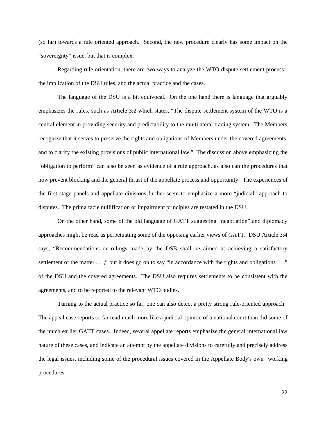(so far) towards a rule oriented approach. Second, the new procedure clearly has some impact on the "sovereignty" issue, but that is complex.

Regarding rule orientation, there are two ways to analyze the WTO dispute settlement process: the implication of the DSU rules, and the actual practice and the cases.

The language of the DSU is a bit equivocal. On the one hand there is language that arguably emphasizes the rules, such as Article 3:2 which states, "The dispute settlement system of the WTO is a central element in providing security and predictability to the multilateral trading system. The Members recognize that it serves to preserve the rights and obligations of Members under the covered agreements, and to clarify the existing provisions of public international law." The discussion above emphasizing the "obligation to perform" can also be seen as evidence of a rule approach, as also can the procedures that now prevent blocking and the general thrust of the appellate process and opportunity. The experiences of the first stage panels and appellate divisions further seem to emphasize a more "judicial" approach to disputes. The prima facie nullification or impairment principles are restated in the DSU.

On the other hand, some of the old language of GATT suggesting "negotiation" and diplomacy approaches might be read as perpetuating some of the opposing earlier views of GATT. DSU Article 3:4 says, "Recommendations or rulings made by the DSB shall be aimed at achieving a satisfactory settlement of the matter . . .," but it does go on to say "in accordance with the rights and obligations . . ." of the DSU and the covered agreements. The DSU also requires settlements to be consistent with the agreements, and to be reported to the relevant WTO bodies.

Turning to the actual practice so far, one can also detect a pretty strong rule-oriented approach. The appeal case reports so far read much more like a judicial opinion of a national court than did some of the much earlier GATT cases. Indeed, several appellate reports emphasize the general international law nature of these cases, and indicate an attempt by the appellate divisions to carefully and precisely address the legal issues, including some of the procedural issues covered in the Appellate Body's own "working procedures.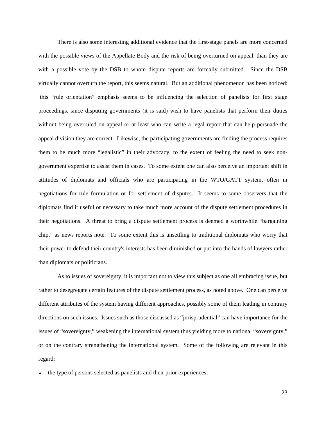There is also some interesting additional evidence that the first-stage panels are more concerned with the possible views of the Appellate Body and the risk of being overturned on appeal, than they are with a possible vote by the DSB to whom dispute reports are formally submitted. Since the DSB virtually cannot overturn the report, this seems natural. But an additional phenomenon has been noticed: this "rule orientation" emphasis seems to be influencing the selection of panelists for first stage proceedings, since disputing governments (it is said) wish to have panelists that perform their duties without being overruled on appeal or at least who can write a legal report that can help persuade the appeal division they are correct. Likewise, the participating governments are finding the process requires them to be much more "legalistic" in their advocacy, to the extent of feeling the need to seek nongovernment expertise to assist them in cases. To some extent one can also perceive an important shift in attitudes of diplomats and officials who are participating in the WTO/GATT system, often in negotiations for rule formulation or for settlement of disputes. It seems to some observers that the diplomats find it useful or necessary to take much more account of the dispute settlement procedures in their negotiations. A threat to bring a dispute settlement process is deemed a worthwhile "bargaining chip," as news reports note. To some extent this is unsettling to traditional diplomats who worry that their power to defend their country's interests has been diminished or put into the hands of lawyers rather than diplomats or politicians.

As to issues of sovereignty, it is important not to view this subject as one all embracing issue, but rather to desegregate certain features of the dispute settlement process, as noted above. One can perceive different attributes of the system having different approaches, possibly some of them leading in contrary directions on such issues. Issues such as those discussed as "jurisprudential" can have importance for the issues of "sovereignty," weakening the international system thus yielding more to national "sovereignty," or on the contrary strengthening the international system. Some of the following are relevant in this regard:

the type of persons selected as panelists and their prior experiences;